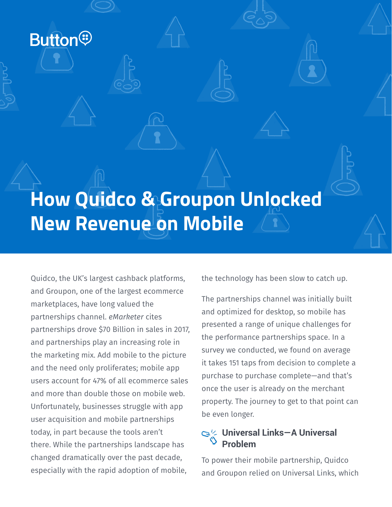**Button®** 

# **How Quidco & Groupon Unlocked New Revenue on Mobile**

Quidco, the UK's largest cashback platforms, and Groupon, one of the largest ecommerce marketplaces, have long valued the partnerships channel. *eMarketer* cites partnerships drove \$70 Billion in sales in 2017, and partnerships play an increasing role in the marketing mix. Add mobile to the picture and the need only proliferates; mobile app users account for 47% of all ecommerce sales and more than double those on mobile web. Unfortunately, businesses struggle with app user acquisition and mobile partnerships today, in part because the tools aren't there. While the partnerships landscape has changed dramatically over the past decade, especially with the rapid adoption of mobile,

the technology has been slow to catch up.

The partnerships channel was initially built and optimized for desktop, so mobile has presented a range of unique challenges for the performance partnerships space. In a survey we conducted, we found on average it takes 151 taps from decision to complete a purchase to purchase complete—and that's once the user is already on the merchant property. The journey to get to that point can be even longer.

# **Universal Links—A Universal Problem**

To power their mobile partnership, Quidco and Groupon relied on Universal Links, which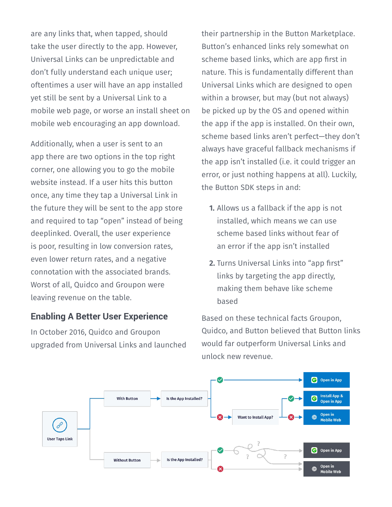are any links that, when tapped, should take the user directly to the app. However, Universal Links can be unpredictable and don't fully understand each unique user; oftentimes a user will have an app installed yet still be sent by a Universal Link to a mobile web page, or worse an install sheet on mobile web encouraging an app download.

Additionally, when a user is sent to an app there are two options in the top right corner, one allowing you to go the mobile website instead. If a user hits this button once, any time they tap a Universal Link in the future they will be sent to the app store and required to tap "open" instead of being deeplinked. Overall, the user experience is poor, resulting in low conversion rates, even lower return rates, and a negative connotation with the associated brands. Worst of all, Quidco and Groupon were leaving revenue on the table.

# **Enabling A Better User Experience**

In October 2016, Quidco and Groupon upgraded from Universal Links and launched their partnership in the Button Marketplace. Button's enhanced links rely somewhat on scheme based links, which are app first in nature. This is fundamentally different than Universal Links which are designed to open within a browser, but may (but not always) be picked up by the OS and opened within the app if the app is installed. On their own, scheme based links aren't perfect—they don't always have graceful fallback mechanisms if the app isn't installed (i.e. it could trigger an error, or just nothing happens at all). Luckily, the Button SDK steps in and:

- **1.** Allows us a fallback if the app is not installed, which means we can use scheme based links without fear of an error if the app isn't installed
- **2.** Turns Universal Links into "app first" links by targeting the app directly, making them behave like scheme based

Based on these technical facts Groupon, Quidco, and Button believed that Button links would far outperform Universal Links and unlock new revenue.

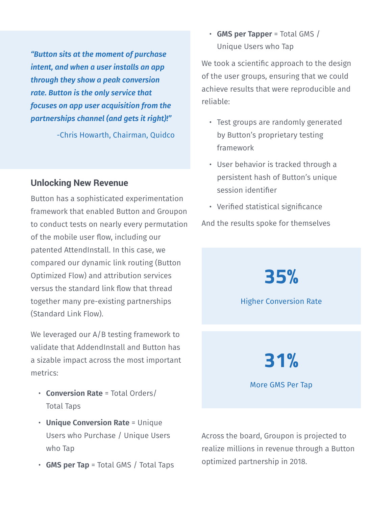*"Button sits at the moment of purchase intent, and when a user installs an app through they show a peak conversion rate. Button is the only service that focuses on app user acquisition from the partnerships channel (and gets it right)!"* 

-Chris Howarth, Chairman, Quidco

#### **Unlocking New Revenue**

Button has a sophisticated experimentation framework that enabled Button and Groupon to conduct tests on nearly every permutation of the mobile user flow, including our patented AttendInstall. In this case, we compared our dynamic link routing (Button Optimized Flow) and attribution services versus the standard link flow that thread together many pre-existing partnerships (Standard Link Flow).

We leveraged our A/B testing framework to validate that AddendInstall and Button has a sizable impact across the most important metrics:

- **Conversion Rate** = Total Orders/ Total Taps
- **Unique Conversion Rate** = Unique Users who Purchase / Unique Users who Tap
- **GMS per Tap** = Total GMS / Total Taps

• **GMS per Tapper** = Total GMS / Unique Users who Tap

We took a scientific approach to the design of the user groups, ensuring that we could achieve results that were reproducible and reliable:

- Test groups are randomly generated by Button's proprietary testing framework
- User behavior is tracked through a persistent hash of Button's unique session identifier
- Verified statistical significance

And the results spoke for themselves



Across the board, Groupon is projected to realize millions in revenue through a Button optimized partnership in 2018.